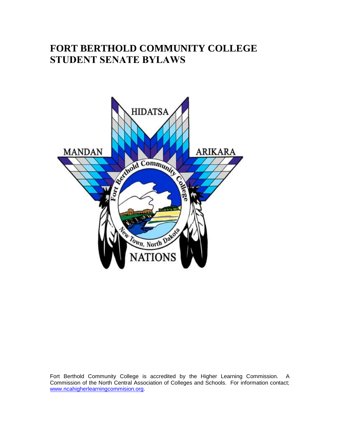# **FORT BERTHOLD COMMUNITY COLLEGE STUDENT SENATE BYLAWS**



Fort Berthold Community College is accredited by the Higher Learning Commission. A Commission of the North Central Association of Colleges and Schools. For information contact; [www.ncahigherlearningcommision.org.](http://www.ncahigherlearningcommision.org/)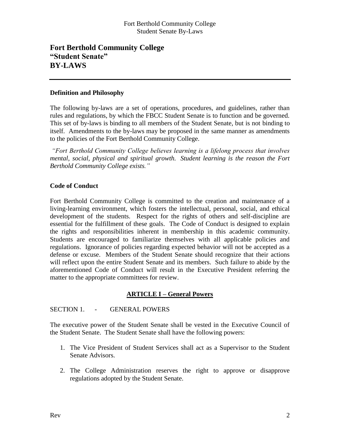## Fort Berthold Community College Student Senate By-Laws

# **Fort Berthold Community College "Student Senate" BY-LAWS**

#### **Definition and Philosophy**

The following by-laws are a set of operations, procedures, and guidelines, rather than rules and regulations, by which the FBCC Student Senate is to function and be governed. This set of by-laws is binding to all members of the Student Senate, but is not binding to itself. Amendments to the by-laws may be proposed in the same manner as amendments to the policies of the Fort Berthold Community College.

*"Fort Berthold Community College believes learning is a lifelong process that involves mental, social, physical and spiritual growth. Student learning is the reason the Fort Berthold Community College exists."*

#### **Code of Conduct**

Fort Berthold Community College is committed to the creation and maintenance of a living-learning environment, which fosters the intellectual, personal, social, and ethical development of the students. Respect for the rights of others and self-discipline are essential for the fulfillment of these goals. The Code of Conduct is designed to explain the rights and responsibilities inherent in membership in this academic community. Students are encouraged to familiarize themselves with all applicable policies and regulations. Ignorance of policies regarding expected behavior will not be accepted as a defense or excuse. Members of the Student Senate should recognize that their actions will reflect upon the entire Student Senate and its members. Such failure to abide by the aforementioned Code of Conduct will result in the Executive President referring the matter to the appropriate committees for review.

## **ARTICLE I – General Powers**

#### SECTION 1. - GENERAL POWERS

The executive power of the Student Senate shall be vested in the Executive Council of the Student Senate. The Student Senate shall have the following powers:

- 1. The Vice President of Student Services shall act as a Supervisor to the Student Senate Advisors.
- 2. The College Administration reserves the right to approve or disapprove regulations adopted by the Student Senate.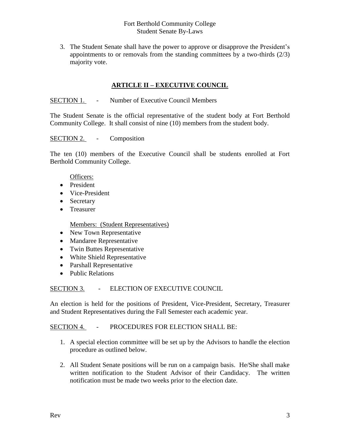## Fort Berthold Community College Student Senate By-Laws

3. The Student Senate shall have the power to approve or disapprove the President's appointments to or removals from the standing committees by a two-thirds (2/3) majority vote.

## **ARTICLE II – EXECUTIVE COUNCIL**

#### SECTION 1. - Number of Executive Council Members

The Student Senate is the official representative of the student body at Fort Berthold Community College. It shall consist of nine (10) members from the student body.

#### SECTION 2. - Composition

The ten (10) members of the Executive Council shall be students enrolled at Fort Berthold Community College.

#### Officers:

- President
- Vice-President
- Secretary
- Treasurer

Members: (Student Representatives)

- New Town Representative
- Mandaree Representative
- Twin Buttes Representative
- White Shield Representative
- Parshall Representative
- Public Relations

## SECTION 3. - ELECTION OF EXECUTIVE COUNCIL

An election is held for the positions of President, Vice-President, Secretary, Treasurer and Student Representatives during the Fall Semester each academic year.

#### SECTION 4. - PROCEDURES FOR ELECTION SHALL BE:

- 1. A special election committee will be set up by the Advisors to handle the election procedure as outlined below.
- 2. All Student Senate positions will be run on a campaign basis. He/She shall make written notification to the Student Advisor of their Candidacy. The written notification must be made two weeks prior to the election date.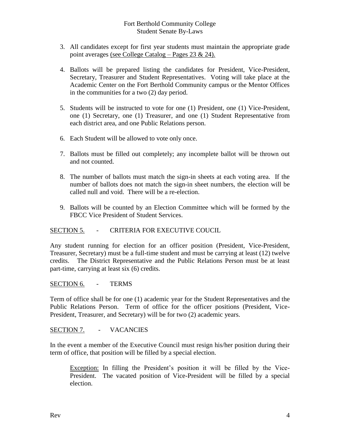## Fort Berthold Community College Student Senate By-Laws

- 3. All candidates except for first year students must maintain the appropriate grade point averages (see College Catalog – Pages 23 & 24).
- 4. Ballots will be prepared listing the candidates for President, Vice-President, Secretary, Treasurer and Student Representatives. Voting will take place at the Academic Center on the Fort Berthold Community campus or the Mentor Offices in the communities for a two (2) day period.
- 5. Students will be instructed to vote for one (1) President, one (1) Vice-President, one (1) Secretary, one (1) Treasurer, and one (1) Student Representative from each district area, and one Public Relations person.
- 6. Each Student will be allowed to vote only once.
- 7. Ballots must be filled out completely; any incomplete ballot will be thrown out and not counted.
- 8. The number of ballots must match the sign-in sheets at each voting area. If the number of ballots does not match the sign-in sheet numbers, the election will be called null and void. There will be a re-election.
- 9. Ballots will be counted by an Election Committee which will be formed by the FBCC Vice President of Student Services.

## SECTION 5. - CRITERIA FOR EXECUTIVE COUCIL

Any student running for election for an officer position (President, Vice-President, Treasurer, Secretary) must be a full-time student and must be carrying at least (12) twelve credits. The District Representative and the Public Relations Person must be at least part-time, carrying at least six (6) credits.

SECTION 6. - TERMS

Term of office shall be for one (1) academic year for the Student Representatives and the Public Relations Person. Term of office for the officer positions (President, Vice-President, Treasurer, and Secretary) will be for two (2) academic years.

#### SECTION 7. - VACANCIES

In the event a member of the Executive Council must resign his/her position during their term of office, that position will be filled by a special election.

Exception: In filling the President's position it will be filled by the Vice-President. The vacated position of Vice-President will be filled by a special election.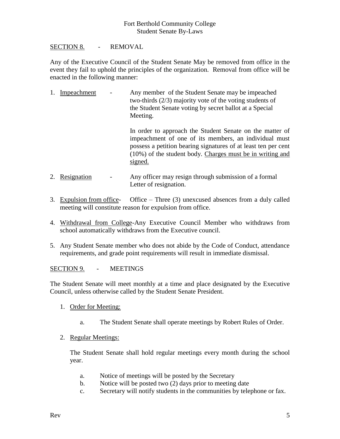## SECTION 8. - REMOVAL

Any of the Executive Council of the Student Senate May be removed from office in the event they fail to uphold the principles of the organization. Removal from office will be enacted in the following manner:

1. Impeachment - Any member of the Student Senate may be impeached two-thirds (2/3) majority vote of the voting students of the Student Senate voting by secret ballot at a Special Meeting.

> In order to approach the Student Senate on the matter of impeachment of one of its members, an individual must possess a petition bearing signatures of at least ten per cent (10%) of the student body. Charges must be in writing and signed.

- 2. Resignation Any officer may resign through submission of a formal Letter of resignation.
- 3. Expulsion from office- Office Three (3) unexcused absences from a duly called meeting will constitute reason for expulsion from office.
- 4. Withdrawal from College-Any Executive Council Member who withdraws from school automatically withdraws from the Executive council.
- 5. Any Student Senate member who does not abide by the Code of Conduct, attendance requirements, and grade point requirements will result in immediate dismissal.

SECTION 9. - MEETINGS

The Student Senate will meet monthly at a time and place designated by the Executive Council, unless otherwise called by the Student Senate President.

- 1. Order for Meeting:
	- a. The Student Senate shall operate meetings by Robert Rules of Order.
- 2. Regular Meetings:

The Student Senate shall hold regular meetings every month during the school year.

- a. Notice of meetings will be posted by the Secretary
- b. Notice will be posted two (2) days prior to meeting date
- c. Secretary will notify students in the communities by telephone or fax.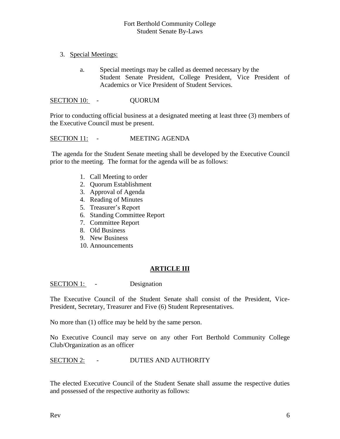- 3. Special Meetings:
	- a. Special meetings may be called as deemed necessary by the Student Senate President, College President, Vice President of Academics or Vice President of Student Services.

SECTION 10: - QUORUM

Prior to conducting official business at a designated meeting at least three (3) members of the Executive Council must be present.

#### SECTION 11: - MEETING AGENDA

The agenda for the Student Senate meeting shall be developed by the Executive Council prior to the meeting. The format for the agenda will be as follows:

- 1. Call Meeting to order
- 2. Quorum Establishment
- 3. Approval of Agenda
- 4. Reading of Minutes
- 5. Treasurer's Report
- 6. Standing Committee Report
- 7. Committee Report
- 8. Old Business
- 9. New Business
- 10. Announcements

## **ARTICLE III**

SECTION 1: - Designation

The Executive Council of the Student Senate shall consist of the President, Vice-President, Secretary, Treasurer and Five (6) Student Representatives.

No more than (1) office may be held by the same person.

No Executive Council may serve on any other Fort Berthold Community College Club/Organization as an officer

SECTION 2: - DUTIES AND AUTHORITY

The elected Executive Council of the Student Senate shall assume the respective duties and possessed of the respective authority as follows: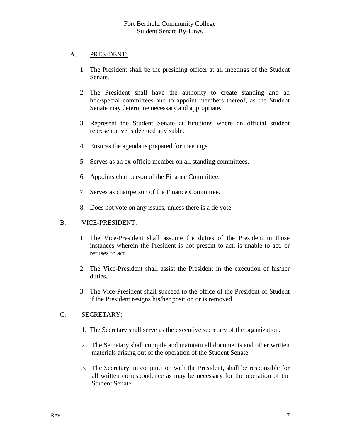## A. PRESIDENT:

- 1. The President shall be the presiding officer at all meetings of the Student Senate.
- 2. The President shall have the authority to create standing and ad hoc/special committees and to appoint members thereof, as the Student Senate may determine necessary and appropriate.
- 3. Represent the Student Senate at functions where an official student representative is deemed advisable.
- 4. Ensures the agenda is prepared for meetings
- 5. Serves as an ex-officio member on all standing committees.
- 6. Appoints chairperson of the Finance Committee.
- 7. Serves as chairperson of the Finance Committee.
- 8. Does not vote on any issues, unless there is a tie vote.

## B. VICE-PRESIDENT:

- 1. The Vice-President shall assume the duties of the President in those instances wherein the President is not present to act, is unable to act, or refuses to act.
- 2. The Vice-President shall assist the President in the execution of his/her duties.
- 3. The Vice-President shall succeed to the office of the President of Student if the President resigns his/her position or is removed.

# C. SECRETARY:

- 1. The Secretary shall serve as the executive secretary of the organization.
- 2. The Secretary shall compile and maintain all documents and other written materials arising out of the operation of the Student Senate
- 3. The Secretary, in conjunction with the President, shall be responsible for all written correspondence as may be necessary for the operation of the Student Senate.